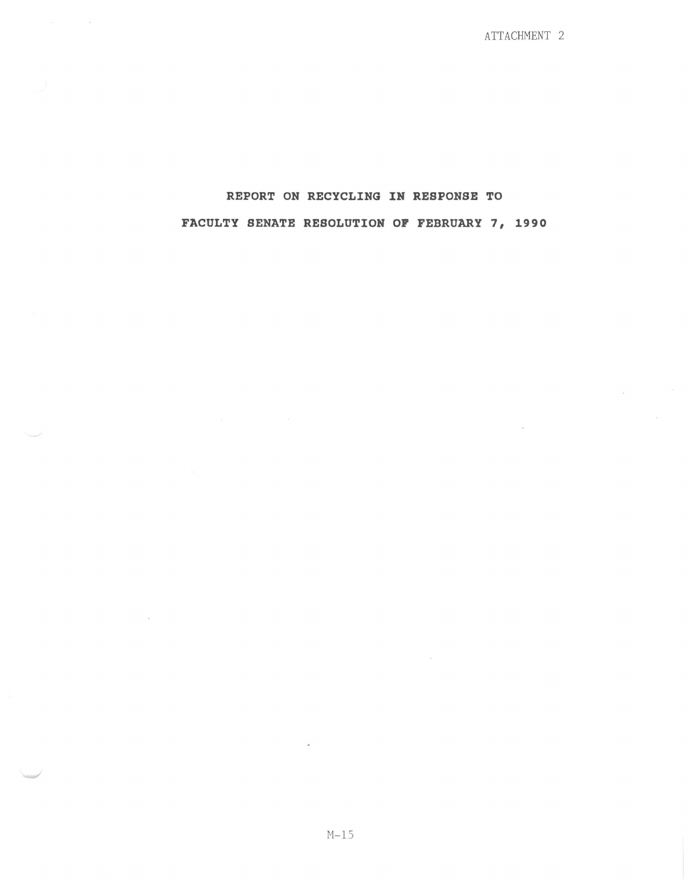ATTACHMENT 2

 $\sim$ 

## REPORT ON RECYCLING IN RESPONSE TO FACULTY SENATE RESOLUTION OP FEBRUARY 7, 1990

 $\label{eq:1} \frac{1}{\sqrt{2}}\int_{\mathbb{R}^{3}}\left|\frac{d\mathbf{x}}{d\mathbf{x}}\right|^{2}d\mathbf{x}$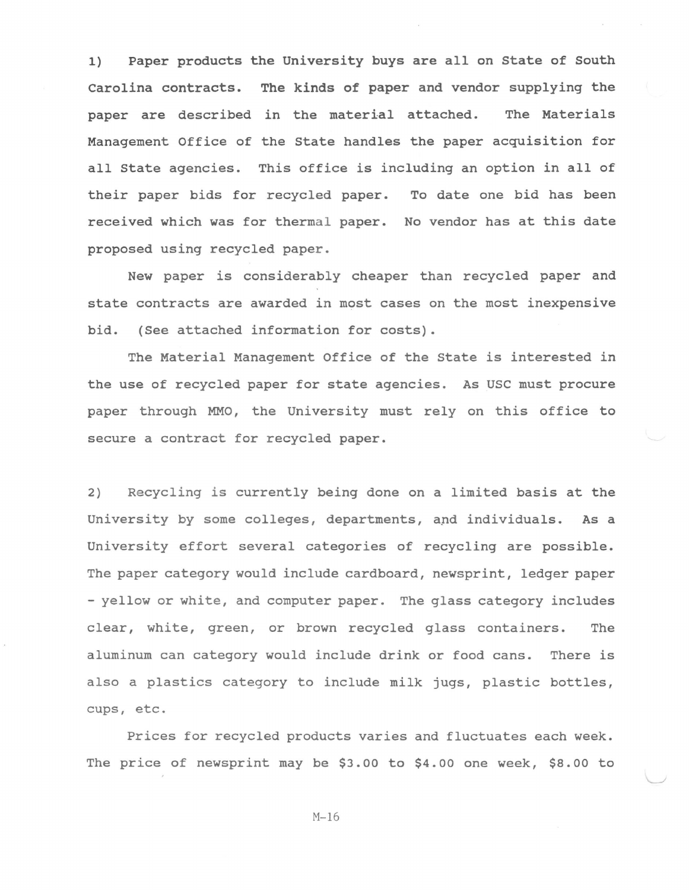1) Paper products the University buys are all on State of South Carolina contracts. The kinds of paper and vendor supplying the paper are described in the material attached. The Materials Management Office of the State handles the paper acquisition for all state agencies. This office is including an option in all of their paper bids for recycled paper. To date one bid has been received which was for thermal paper. No vendor has at this date proposed using recycled paper.

New paper is considerably cheaper than recycled paper and state contracts are awarded in most cases on the most inexpensive bid. (See attached information for costs).

The Material Management Office of the State is interested in the use of recycled paper for state agencies. As USC must procure paper through MMO, the University must rely on this office to secure a contract for recycled paper.

2) Recycling is currently being done on a limited basis at the University by some colleges, departments, and individuals. As a University effort several categories of recycling are possible. The paper category would include cardboard, newsprint, ledger paper - yellow or white, and computer paper. The glass category includes clear, white, green, or brown recycled glass containers. The aluminum can category would include drink or food cans. There is also a plastics category to include milk jugs, plastic bottles, cups, etc.

Prices for recycled products varies and fluctuates each week. The price of newsprint may be \$3.00 to \$4.00 one week, \$8.00 to

M-16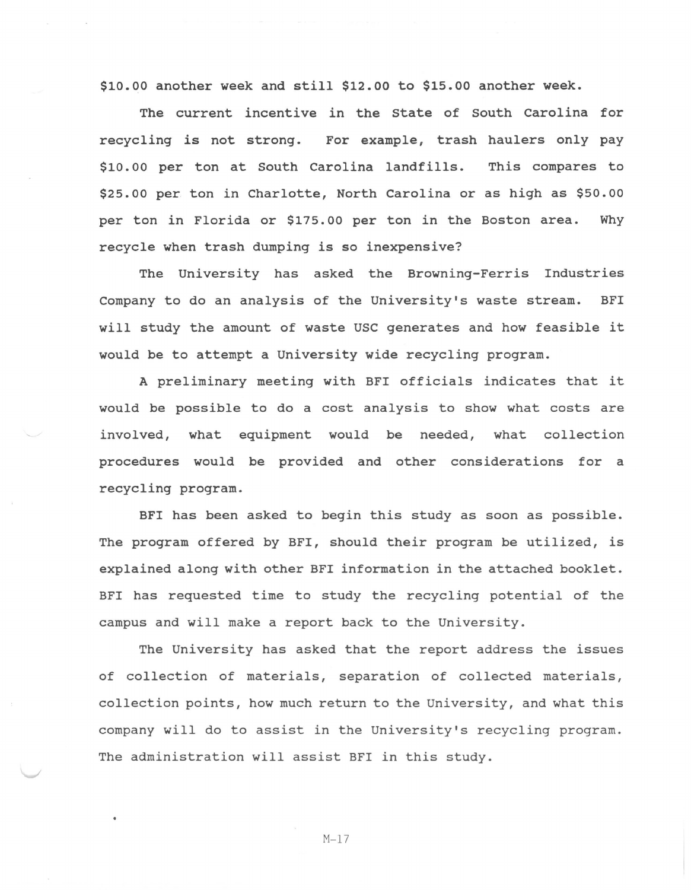\$10.00 another week and still \$12.00 to \$15.00 another week.

The current incentive in the State of South Carolina for recycling is not strong. For example, trash haulers only pay \$10. 00 per ton at South Carolina landfills. This compares to \$25.00 per ton in Charlotte, North Carolina or as high as \$50.00 per ton in Florida or \$175.00 per ton in the Boston area. Why recycle when trash dumping is so inexpensive?

The University has asked the Browning-Ferris Industries Company to do an analysis of the University's waste stream. BFI will study the amount of waste USC generates and how feasible it would be to attempt a University wide recycling program.

A preliminary meeting with BFI officials indicates that it would be possible to do a cost analysis to show what costs are involved, what equipment would be needed, what collection procedures would be provided and other considerations for a recycling program.

BFI has been asked to begin this study as soon as possible. The program offered by BFI, should their program be utilized, is explained along with other BFI information in the attached booklet. BFI has requested time to study the recycling potential of the campus and will make a report back to the University.

The University has asked that the report address the issues of collection of materials, separation of collected materials, collection points, how much return to the University, and what this company will do to assist in the University's recycling program. The administration will assist BFI in this study.

M-17